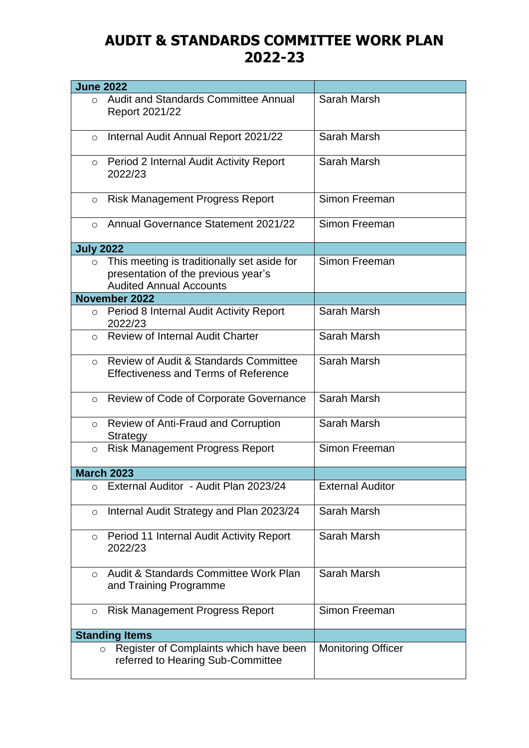## **AUDIT & STANDARDS COMMITTEE WORK PLAN 2022-23**

| <b>June 2022</b> |                                                                                                                      |                           |
|------------------|----------------------------------------------------------------------------------------------------------------------|---------------------------|
| $\Omega$         | <b>Audit and Standards Committee Annual</b><br>Report 2021/22                                                        | Sarah Marsh               |
| $\circ$          | Internal Audit Annual Report 2021/22                                                                                 | Sarah Marsh               |
| $\circ$          | Period 2 Internal Audit Activity Report<br>2022/23                                                                   | Sarah Marsh               |
| $\circ$          | <b>Risk Management Progress Report</b>                                                                               | Simon Freeman             |
| $\Omega$         | <b>Annual Governance Statement 2021/22</b>                                                                           | Simon Freeman             |
| <b>July 2022</b> |                                                                                                                      |                           |
| $\circ$          | This meeting is traditionally set aside for<br>presentation of the previous year's<br><b>Audited Annual Accounts</b> | Simon Freeman             |
|                  | <b>November 2022</b>                                                                                                 |                           |
|                  | o Period 8 Internal Audit Activity Report<br>2022/23                                                                 | Sarah Marsh               |
| $\circ$          | <b>Review of Internal Audit Charter</b>                                                                              | Sarah Marsh               |
| $\circ$          | <b>Review of Audit &amp; Standards Committee</b><br><b>Effectiveness and Terms of Reference</b>                      | Sarah Marsh               |
| $\circ$          | Review of Code of Corporate Governance                                                                               | Sarah Marsh               |
| $\circ$          | <b>Review of Anti-Fraud and Corruption</b><br>Strategy                                                               | Sarah Marsh               |
| $\circ$          | <b>Risk Management Progress Report</b>                                                                               | Simon Freeman             |
|                  | <b>March 2023</b>                                                                                                    |                           |
| $\circ$          | External Auditor - Audit Plan 2023/24                                                                                | <b>External Auditor</b>   |
| $\circ$          | Internal Audit Strategy and Plan 2023/24                                                                             | Sarah Marsh               |
| $\circ$          | Period 11 Internal Audit Activity Report<br>2022/23                                                                  | Sarah Marsh               |
| $\Omega$         | Audit & Standards Committee Work Plan<br>and Training Programme                                                      | Sarah Marsh               |
| $\circ$          | <b>Risk Management Progress Report</b>                                                                               | Simon Freeman             |
|                  | <b>Standing Items</b>                                                                                                |                           |
|                  | Register of Complaints which have been<br>$\circ$<br>referred to Hearing Sub-Committee                               | <b>Monitoring Officer</b> |